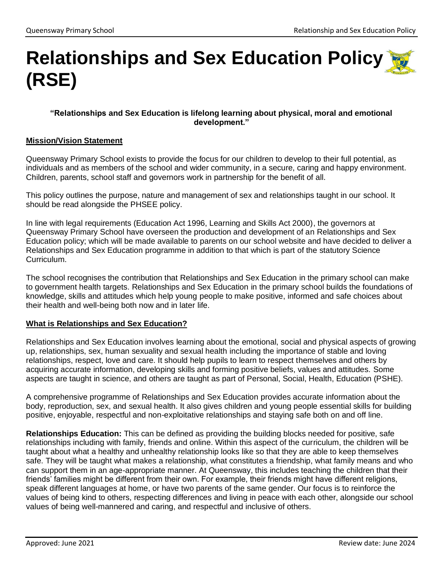# **Relationships and Sex Education Policy (RSE)**

## **"Relationships and Sex Education is lifelong learning about physical, moral and emotional development."**

## **Mission/Vision Statement**

Queensway Primary School exists to provide the focus for our children to develop to their full potential, as individuals and as members of the school and wider community, in a secure, caring and happy environment. Children, parents, school staff and governors work in partnership for the benefit of all.

This policy outlines the purpose, nature and management of sex and relationships taught in our school. It should be read alongside the PHSEE policy.

In line with legal requirements (Education Act 1996, Learning and Skills Act 2000), the governors at Queensway Primary School have overseen the production and development of an Relationships and Sex Education policy; which will be made available to parents on our school website and have decided to deliver a Relationships and Sex Education programme in addition to that which is part of the statutory Science Curriculum.

The school recognises the contribution that Relationships and Sex Education in the primary school can make to government health targets. Relationships and Sex Education in the primary school builds the foundations of knowledge, skills and attitudes which help young people to make positive, informed and safe choices about their health and well-being both now and in later life.

## **What is Relationships and Sex Education?**

Relationships and Sex Education involves learning about the emotional, social and physical aspects of growing up, relationships, sex, human sexuality and sexual health including the importance of stable and loving relationships, respect, love and care. It should help pupils to learn to respect themselves and others by acquiring accurate information, developing skills and forming positive beliefs, values and attitudes. Some aspects are taught in science, and others are taught as part of Personal, Social, Health, Education (PSHE).

A comprehensive programme of Relationships and Sex Education provides accurate information about the body, reproduction, sex, and sexual health. It also gives children and young people essential skills for building positive, enjoyable, respectful and non-exploitative relationships and staying safe both on and off line.

**Relationships Education:** This can be defined as providing the building blocks needed for positive, safe relationships including with family, friends and online. Within this aspect of the curriculum, the children will be taught about what a healthy and unhealthy relationship looks like so that they are able to keep themselves safe. They will be taught what makes a relationship, what constitutes a friendship, what family means and who can support them in an age-appropriate manner. At Queensway, this includes teaching the children that their friends' families might be different from their own. For example, their friends might have different religions, speak different languages at home, or have two parents of the same gender. Our focus is to reinforce the values of being kind to others, respecting differences and living in peace with each other, alongside our school values of being well-mannered and caring, and respectful and inclusive of others.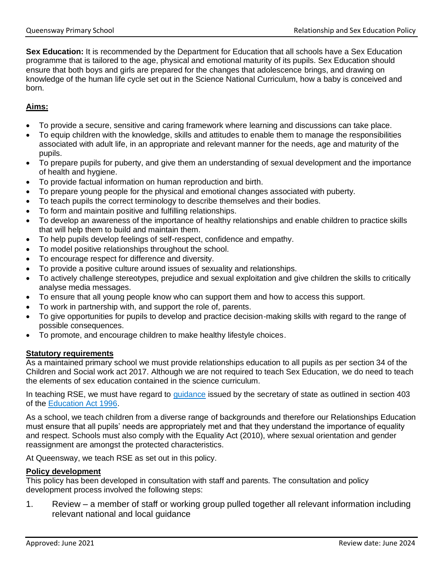Sex Education: It is recommended by the Department for Education that all schools have a Sex Education programme that is tailored to the age, physical and emotional maturity of its pupils. Sex Education should ensure that both boys and girls are prepared for the changes that adolescence brings, and drawing on knowledge of the human life cycle set out in the Science National Curriculum, how a baby is conceived and born.

# **Aims:**

- To provide a secure, sensitive and caring framework where learning and discussions can take place.
- To equip children with the knowledge, skills and attitudes to enable them to manage the responsibilities associated with adult life, in an appropriate and relevant manner for the needs, age and maturity of the pupils.
- To prepare pupils for puberty, and give them an understanding of sexual development and the importance of health and hygiene.
- To provide factual information on human reproduction and birth.
- To prepare young people for the physical and emotional changes associated with puberty.
- To teach pupils the correct terminology to describe themselves and their bodies.
- To form and maintain positive and fulfilling relationships.
- To develop an awareness of the importance of healthy relationships and enable children to practice skills that will help them to build and maintain them.
- To help pupils develop feelings of self-respect, confidence and empathy.
- To model positive relationships throughout the school.
- To encourage respect for difference and diversity.
- To provide a positive culture around issues of sexuality and relationships.
- To actively challenge stereotypes, prejudice and sexual exploitation and give children the skills to critically analyse media messages.
- To ensure that all young people know who can support them and how to access this support.
- To work in partnership with, and support the role of, parents.
- To give opportunities for pupils to develop and practice decision-making skills with regard to the range of possible consequences.
- To promote, and encourage children to make healthy lifestyle choices.

## **Statutory requirements**

As a maintained primary school we must provide relationships education to all pupils as per section 34 of the Children and Social work act 2017. Although we are not required to teach Sex Education, we do need to teach the elements of sex education contained in the science curriculum.

In teaching RSE, we must have regard to [guidance](https://www.gov.uk/government/consultations/relationships-and-sex-education-and-health-education) issued by the secretary of state as outlined in section 403 of the [Education Act 1996.](http://www.legislation.gov.uk/ukpga/1996/56/contents)

As a school, we teach children from a diverse range of backgrounds and therefore our Relationships Education must ensure that all pupils' needs are appropriately met and that they understand the importance of equality and respect. Schools must also comply with the Equality Act (2010), where sexual orientation and gender reassignment are amongst the protected characteristics.

At Queensway, we teach RSE as set out in this policy.

## **Policy development**

This policy has been developed in consultation with staff and parents. The consultation and policy development process involved the following steps:

1. Review – a member of staff or working group pulled together all relevant information including relevant national and local guidance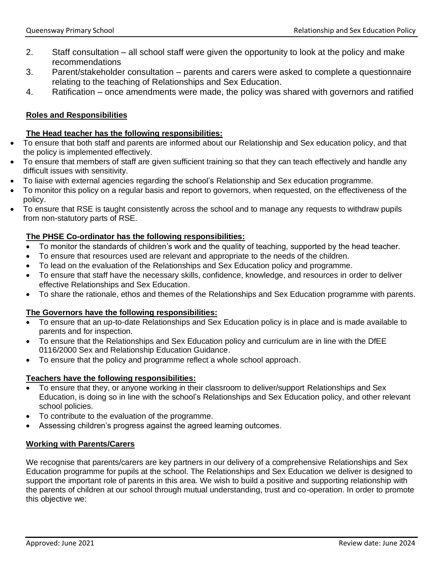- 2. Staff consultation all school staff were given the opportunity to look at the policy and make recommendations
- 3. Parent/stakeholder consultation parents and carers were asked to complete a questionnaire relating to the teaching of Relationships and Sex Education.
- 4. Ratification once amendments were made, the policy was shared with governors and ratified

## **Roles and Responsibilities**

#### **The Head teacher has the following responsibilities:**

- To ensure that both staff and parents are informed about our Relationship and Sex education policy, and that the policy is implemented effectively.
- To ensure that members of staff are given sufficient training so that they can teach effectively and handle any difficult issues with sensitivity.
- To liaise with external agencies regarding the school's Relationship and Sex education programme.
- To monitor this policy on a regular basis and report to governors, when requested, on the effectiveness of the policy.
- To ensure that RSE is taught consistently across the school and to manage any requests to withdraw pupils from non-statutory parts of RSE.

## **The PHSE Co-ordinator has the following responsibilities:**

- To monitor the standards of children's work and the quality of teaching, supported by the head teacher.
- To ensure that resources used are relevant and appropriate to the needs of the children.
- To lead on the evaluation of the Relationships and Sex Education policy and programme.
- To ensure that staff have the necessary skills, confidence, knowledge, and resources in order to deliver effective Relationships and Sex Education.
- To share the rationale, ethos and themes of the Relationships and Sex Education programme with parents.

## **The Governors have the following responsibilities:**

- To ensure that an up-to-date Relationships and Sex Education policy is in place and is made available to parents and for inspection.
- To ensure that the Relationships and Sex Education policy and curriculum are in line with the DfEE 0116/2000 Sex and Relationship Education Guidance.
- To ensure that the policy and programme reflect a whole school approach.

## **Teachers have the following responsibilities:**

- To ensure that they, or anyone working in their classroom to deliver/support Relationships and Sex Education, is doing so in line with the school's Relationships and Sex Education policy, and other relevant school policies.
- To contribute to the evaluation of the programme.
- Assessing children's progress against the agreed learning outcomes.

## **Working with Parents/Carers**

We recognise that parents/carers are key partners in our delivery of a comprehensive Relationships and Sex Education programme for pupils at the school. The Relationships and Sex Education we deliver is designed to support the important role of parents in this area. We wish to build a positive and supporting relationship with the parents of children at our school through mutual understanding, trust and co-operation. In order to promote this objective we: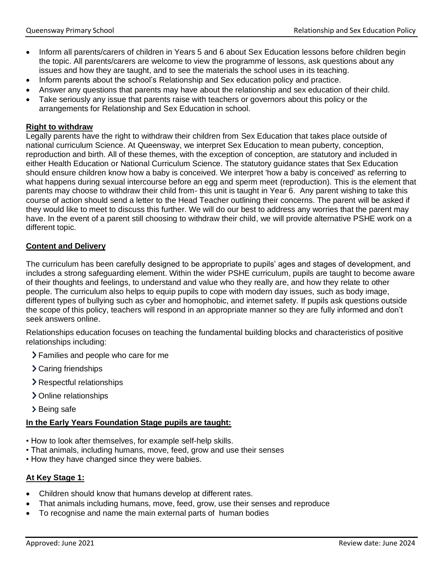- Inform all parents/carers of children in Years 5 and 6 about Sex Education lessons before children begin the topic. All parents/carers are welcome to view the programme of lessons, ask questions about any issues and how they are taught, and to see the materials the school uses in its teaching.
- Inform parents about the school's Relationship and Sex education policy and practice.
- Answer any questions that parents may have about the relationship and sex education of their child.
- Take seriously any issue that parents raise with teachers or governors about this policy or the arrangements for Relationship and Sex Education in school.

#### **Right to withdraw**

Legally parents have the right to withdraw their children from Sex Education that takes place outside of national curriculum Science. At Queensway, we interpret Sex Education to mean puberty, conception, reproduction and birth. All of these themes, with the exception of conception, are statutory and included in either Health Education or National Curriculum Science. The statutory guidance states that Sex Education should ensure children know how a baby is conceived. We interpret 'how a baby is conceived' as referring to what happens during sexual intercourse before an egg and sperm meet (reproduction). This is the element that parents may choose to withdraw their child from- this unit is taught in Year 6. Any parent wishing to take this course of action should send a letter to the Head Teacher outlining their concerns. The parent will be asked if they would like to meet to discuss this further. We will do our best to address any worries that the parent may have. In the event of a parent still choosing to withdraw their child, we will provide alternative PSHE work on a different topic.

#### **Content and Delivery**

The curriculum has been carefully designed to be appropriate to pupils' ages and stages of development, and includes a strong safeguarding element. Within the wider PSHE curriculum, pupils are taught to become aware of their thoughts and feelings, to understand and value who they really are, and how they relate to other people. The curriculum also helps to equip pupils to cope with modern day issues, such as body image, different types of bullying such as cyber and homophobic, and internet safety. If pupils ask questions outside the scope of this policy, teachers will respond in an appropriate manner so they are fully informed and don't seek answers online.

Relationships education focuses on teaching the fundamental building blocks and characteristics of positive relationships including:

- Families and people who care for me
- > Caring friendships
- Respectful relationships
- > Online relationships
- > Being safe

## **In the Early Years Foundation Stage pupils are taught:**

- How to look after themselves, for example self-help skills.
- That animals, including humans, move, feed, grow and use their senses
- How they have changed since they were babies.

## **At Key Stage 1:**

- Children should know that humans develop at different rates.
- That animals including humans, move, feed, grow, use their senses and reproduce
- To recognise and name the main external parts of human bodies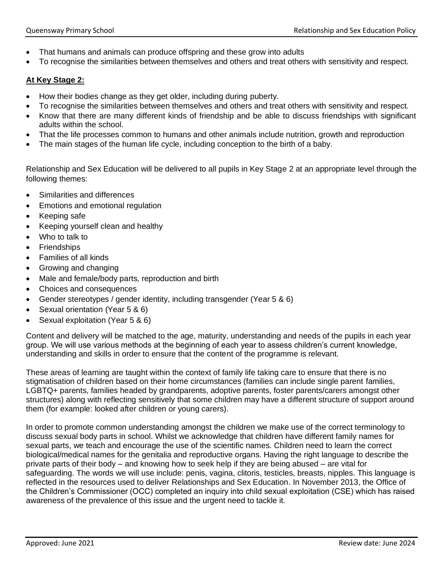- That humans and animals can produce offspring and these grow into adults
- To recognise the similarities between themselves and others and treat others with sensitivity and respect.

## **At Key Stage 2:**

- How their bodies change as they get older, including during puberty.
- To recognise the similarities between themselves and others and treat others with sensitivity and respect.
- Know that there are many different kinds of friendship and be able to discuss friendships with significant adults within the school.
- That the life processes common to humans and other animals include nutrition, growth and reproduction
- The main stages of the human life cycle, including conception to the birth of a baby.

Relationship and Sex Education will be delivered to all pupils in Key Stage 2 at an appropriate level through the following themes:

- Similarities and differences
- Emotions and emotional regulation
- Keeping safe
- Keeping yourself clean and healthy
- Who to talk to
- Friendships
- Families of all kinds
- Growing and changing
- Male and female/body parts, reproduction and birth
- Choices and consequences
- Gender stereotypes / gender identity, including transgender (Year 5 & 6)
- Sexual orientation (Year 5 & 6)
- Sexual exploitation (Year 5 & 6)

Content and delivery will be matched to the age, maturity, understanding and needs of the pupils in each year group. We will use various methods at the beginning of each year to assess children's current knowledge, understanding and skills in order to ensure that the content of the programme is relevant.

These areas of learning are taught within the context of family life taking care to ensure that there is no stigmatisation of children based on their home circumstances (families can include single parent families, LGBTQ+ parents, families headed by grandparents, adoptive parents, foster parents/carers amongst other structures) along with reflecting sensitively that some children may have a different structure of support around them (for example: looked after children or young carers).

In order to promote common understanding amongst the children we make use of the correct terminology to discuss sexual body parts in school. Whilst we acknowledge that children have different family names for sexual parts, we teach and encourage the use of the scientific names. Children need to learn the correct biological/medical names for the genitalia and reproductive organs. Having the right language to describe the private parts of their body – and knowing how to seek help if they are being abused – are vital for safeguarding. The words we will use include: penis, vagina, clitoris, testicles, breasts, nipples. This language is reflected in the resources used to deliver Relationships and Sex Education. In November 2013, the Office of the Children's Commissioner (OCC) completed an inquiry into child sexual exploitation (CSE) which has raised awareness of the prevalence of this issue and the urgent need to tackle it.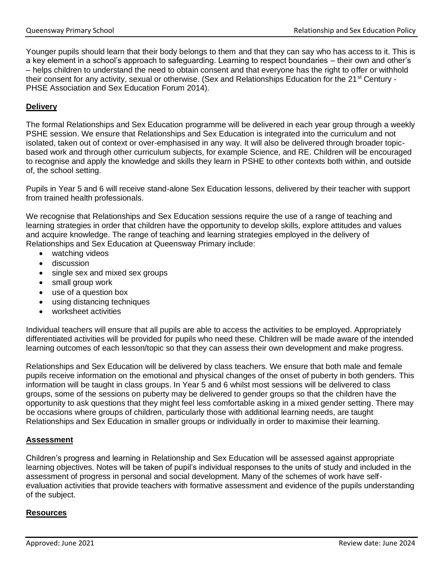Younger pupils should learn that their body belongs to them and that they can say who has access to it. This is a key element in a school's approach to safeguarding. Learning to respect boundaries – their own and other's – helps children to understand the need to obtain consent and that everyone has the right to offer or withhold their consent for any activity, sexual or otherwise. (Sex and Relationships Education for the 21<sup>st</sup> Century -PHSE Association and Sex Education Forum 2014).

# **Delivery**

The formal Relationships and Sex Education programme will be delivered in each year group through a weekly PSHE session. We ensure that Relationships and Sex Education is integrated into the curriculum and not isolated, taken out of context or over-emphasised in any way. It will also be delivered through broader topicbased work and through other curriculum subjects, for example Science, and RE. Children will be encouraged to recognise and apply the knowledge and skills they learn in PSHE to other contexts both within, and outside of, the school setting.

Pupils in Year 5 and 6 will receive stand-alone Sex Education lessons, delivered by their teacher with support from trained health professionals.

We recognise that Relationships and Sex Education sessions require the use of a range of teaching and learning strategies in order that children have the opportunity to develop skills, explore attitudes and values and acquire knowledge. The range of teaching and learning strategies employed in the delivery of Relationships and Sex Education at Queensway Primary include:

- watching videos
- discussion
- single sex and mixed sex groups
- small group work
- use of a question box
- using distancing techniques
- worksheet activities

Individual teachers will ensure that all pupils are able to access the activities to be employed. Appropriately differentiated activities will be provided for pupils who need these. Children will be made aware of the intended learning outcomes of each lesson/topic so that they can assess their own development and make progress.

Relationships and Sex Education will be delivered by class teachers. We ensure that both male and female pupils receive information on the emotional and physical changes of the onset of puberty in both genders. This information will be taught in class groups. In Year 5 and 6 whilst most sessions will be delivered to class groups, some of the sessions on puberty may be delivered to gender groups so that the children have the opportunity to ask questions that they might feel less comfortable asking in a mixed gender setting. There may be occasions where groups of children, particularly those with additional learning needs, are taught Relationships and Sex Education in smaller groups or individually in order to maximise their learning.

## **Assessment**

Children's progress and learning in Relationship and Sex Education will be assessed against appropriate learning objectives. Notes will be taken of pupil's individual responses to the units of study and included in the assessment of progress in personal and social development. Many of the schemes of work have selfevaluation activities that provide teachers with formative assessment and evidence of the pupils understanding of the subject.

## **Resources**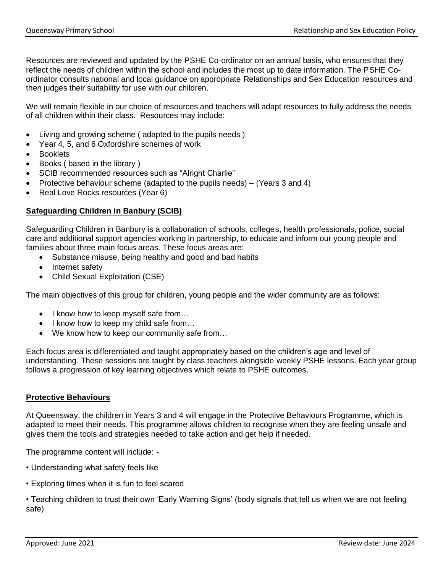Resources are reviewed and updated by the PSHE Co-ordinator on an annual basis, who ensures that they reflect the needs of children within the school and includes the most up to date information. The PSHE Coordinator consults national and local guidance on appropriate Relationships and Sex Education resources and then judges their suitability for use with our children.

We will remain flexible in our choice of resources and teachers will adapt resources to fully address the needs of all children within their class. Resources may include:

- Living and growing scheme ( adapted to the pupils needs )
- Year 4, 5, and 6 Oxfordshire schemes of work
- Booklets
- Books ( based in the library )
- SCIB recommended resources such as "Alright Charlie"
- Protective behaviour scheme (adapted to the pupils needs) (Years 3 and 4)
- Real Love Rocks resources (Year 6)

#### **Safeguarding Children in Banbury (SCIB)**

Safeguarding Children in Banbury is a collaboration of schools, colleges, health professionals, police, social care and additional support agencies working in partnership, to educate and inform our young people and families about three main focus areas. These focus areas are:

- Substance misuse, being healthy and good and bad habits
- Internet safety
- Child Sexual Exploitation (CSE)

The main objectives of this group for children, young people and the wider community are as follows:

- I know how to keep myself safe from...
- I know how to keep my child safe from...
- We know how to keep our community safe from...

Each focus area is differentiated and taught appropriately based on the children's age and level of understanding. These sessions are taught by class teachers alongside weekly PSHE lessons. Each year group follows a progression of key learning objectives which relate to PSHE outcomes.

#### **Protective Behaviours**

At Queensway, the children in Years 3 and 4 will engage in the Protective Behaviours Programme, which is adapted to meet their needs. This programme allows children to recognise when they are feeling unsafe and gives them the tools and strategies needed to take action and get help if needed.

The programme content will include: -

- Understanding what safety feels like
- Exploring times when it is fun to feel scared

• Teaching children to trust their own 'Early Warning Signs' (body signals that tell us when we are not feeling safe)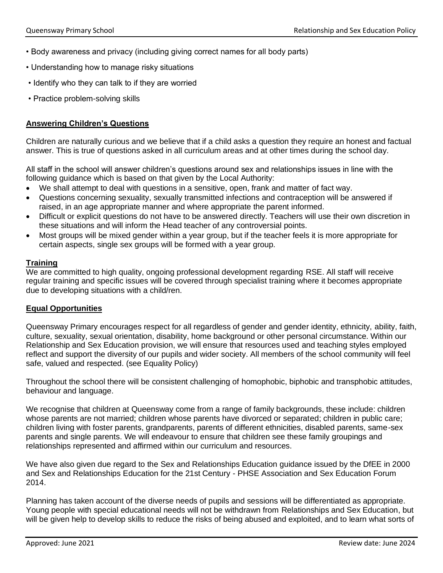- Body awareness and privacy (including giving correct names for all body parts)
- Understanding how to manage risky situations
- Identify who they can talk to if they are worried
- Practice problem-solving skills

#### **Answering Children's Questions**

Children are naturally curious and we believe that if a child asks a question they require an honest and factual answer. This is true of questions asked in all curriculum areas and at other times during the school day.

All staff in the school will answer children's questions around sex and relationships issues in line with the following guidance which is based on that given by the Local Authority:

- We shall attempt to deal with questions in a sensitive, open, frank and matter of fact way.
- Questions concerning sexuality, sexually transmitted infections and contraception will be answered if raised, in an age appropriate manner and where appropriate the parent informed.
- Difficult or explicit questions do not have to be answered directly. Teachers will use their own discretion in these situations and will inform the Head teacher of any controversial points.
- Most groups will be mixed gender within a year group, but if the teacher feels it is more appropriate for certain aspects, single sex groups will be formed with a year group.

#### **Training**

We are committed to high quality, ongoing professional development regarding RSE. All staff will receive regular training and specific issues will be covered through specialist training where it becomes appropriate due to developing situations with a child/ren.

#### **Equal Opportunities**

Queensway Primary encourages respect for all regardless of gender and gender identity, ethnicity, ability, faith, culture, sexuality, sexual orientation, disability, home background or other personal circumstance. Within our Relationship and Sex Education provision, we will ensure that resources used and teaching styles employed reflect and support the diversity of our pupils and wider society. All members of the school community will feel safe, valued and respected. (see Equality Policy)

Throughout the school there will be consistent challenging of homophobic, biphobic and transphobic attitudes, behaviour and language.

We recognise that children at Queensway come from a range of family backgrounds, these include: children whose parents are not married; children whose parents have divorced or separated; children in public care; children living with foster parents, grandparents, parents of different ethnicities, disabled parents, same-sex parents and single parents. We will endeavour to ensure that children see these family groupings and relationships represented and affirmed within our curriculum and resources.

We have also given due regard to the Sex and Relationships Education guidance issued by the DfEE in 2000 and Sex and Relationships Education for the 21st Century - PHSE Association and Sex Education Forum 2014.

Planning has taken account of the diverse needs of pupils and sessions will be differentiated as appropriate. Young people with special educational needs will not be withdrawn from Relationships and Sex Education, but will be given help to develop skills to reduce the risks of being abused and exploited, and to learn what sorts of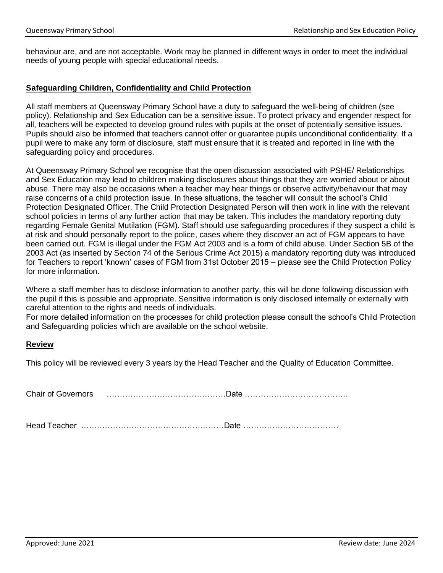behaviour are, and are not acceptable. Work may be planned in different ways in order to meet the individual needs of young people with special educational needs.

#### **Safeguarding Children, Confidentiality and Child Protection**

All staff members at Queensway Primary School have a duty to safeguard the well-being of children (see policy). Relationship and Sex Education can be a sensitive issue. To protect privacy and engender respect for all, teachers will be expected to develop ground rules with pupils at the onset of potentially sensitive issues. Pupils should also be informed that teachers cannot offer or guarantee pupils unconditional confidentiality. If a pupil were to make any form of disclosure, staff must ensure that it is treated and reported in line with the safeguarding policy and procedures.

At Queensway Primary School we recognise that the open discussion associated with PSHE/ Relationships and Sex Education may lead to children making disclosures about things that they are worried about or about abuse. There may also be occasions when a teacher may hear things or observe activity/behaviour that may raise concerns of a child protection issue. In these situations, the teacher will consult the school's Child Protection Designated Officer. The Child Protection Designated Person will then work in line with the relevant school policies in terms of any further action that may be taken. This includes the mandatory reporting duty regarding Female Genital Mutilation (FGM). Staff should use safeguarding procedures if they suspect a child is at risk and should personally report to the police, cases where they discover an act of FGM appears to have been carried out. FGM is illegal under the FGM Act 2003 and is a form of child abuse. Under Section 5B of the 2003 Act (as inserted by Section 74 of the Serious Crime Act 2015) a mandatory reporting duty was introduced for Teachers to report 'known' cases of FGM from 31st October 2015 – please see the Child Protection Policy for more information.

Where a staff member has to disclose information to another party, this will be done following discussion with the pupil if this is possible and appropriate. Sensitive information is only disclosed internally or externally with careful attention to the rights and needs of individuals.

For more detailed information on the processes for child protection please consult the school's Child Protection and Safeguarding policies which are available on the school website.

#### **Review**

This policy will be reviewed every 3 years by the Head Teacher and the Quality of Education Committee.

Chair of Governors ………………………………………Date …………………………………

Head Teacher ………………………………………………Date ………………………………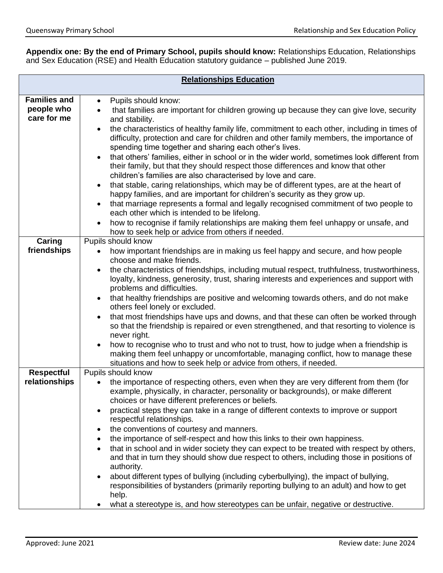**Appendix one: By the end of Primary School, pupils should know:** Relationships Education, Relationships and Sex Education (RSE) and Health Education statutory guidance – published June 2019.

| <b>Relationships Education</b> |                                                                                                                                                                                  |  |
|--------------------------------|----------------------------------------------------------------------------------------------------------------------------------------------------------------------------------|--|
| <b>Families and</b>            | Pupils should know:<br>$\bullet$                                                                                                                                                 |  |
| people who                     | that families are important for children growing up because they can give love, security<br>$\bullet$                                                                            |  |
| care for me                    | and stability.                                                                                                                                                                   |  |
|                                | the characteristics of healthy family life, commitment to each other, including in times of                                                                                      |  |
|                                | difficulty, protection and care for children and other family members, the importance of                                                                                         |  |
|                                | spending time together and sharing each other's lives.                                                                                                                           |  |
|                                | that others' families, either in school or in the wider world, sometimes look different from<br>their family, but that they should respect those differences and know that other |  |
|                                | children's families are also characterised by love and care.                                                                                                                     |  |
|                                | that stable, caring relationships, which may be of different types, are at the heart of<br>$\bullet$                                                                             |  |
|                                | happy families, and are important for children's security as they grow up.                                                                                                       |  |
|                                | that marriage represents a formal and legally recognised commitment of two people to                                                                                             |  |
|                                | each other which is intended to be lifelong.                                                                                                                                     |  |
|                                | how to recognise if family relationships are making them feel unhappy or unsafe, and                                                                                             |  |
| Caring                         | how to seek help or advice from others if needed.<br>Pupils should know                                                                                                          |  |
| friendships                    | how important friendships are in making us feel happy and secure, and how people                                                                                                 |  |
|                                | choose and make friends.                                                                                                                                                         |  |
|                                | the characteristics of friendships, including mutual respect, truthfulness, trustworthiness,<br>$\bullet$                                                                        |  |
|                                | loyalty, kindness, generosity, trust, sharing interests and experiences and support with                                                                                         |  |
|                                | problems and difficulties.                                                                                                                                                       |  |
|                                | that healthy friendships are positive and welcoming towards others, and do not make<br>$\bullet$<br>others feel lonely or excluded.                                              |  |
|                                | that most friendships have ups and downs, and that these can often be worked through                                                                                             |  |
|                                | so that the friendship is repaired or even strengthened, and that resorting to violence is                                                                                       |  |
|                                | never right.                                                                                                                                                                     |  |
|                                | how to recognise who to trust and who not to trust, how to judge when a friendship is<br>$\bullet$                                                                               |  |
|                                | making them feel unhappy or uncomfortable, managing conflict, how to manage these<br>situations and how to seek help or advice from others, if needed.                           |  |
| <b>Respectful</b>              | Pupils should know                                                                                                                                                               |  |
| relationships                  | the importance of respecting others, even when they are very different from them (for                                                                                            |  |
|                                | example, physically, in character, personality or backgrounds), or make different                                                                                                |  |
|                                | choices or have different preferences or beliefs.                                                                                                                                |  |
|                                | practical steps they can take in a range of different contexts to improve or support                                                                                             |  |
|                                | respectful relationships.<br>the conventions of courtesy and manners.                                                                                                            |  |
|                                | the importance of self-respect and how this links to their own happiness.                                                                                                        |  |
|                                | that in school and in wider society they can expect to be treated with respect by others,                                                                                        |  |
|                                | and that in turn they should show due respect to others, including those in positions of                                                                                         |  |
|                                | authority.                                                                                                                                                                       |  |
|                                | about different types of bullying (including cyberbullying), the impact of bullying,                                                                                             |  |
|                                | responsibilities of bystanders (primarily reporting bullying to an adult) and how to get                                                                                         |  |
|                                | help.<br>what a stereotype is, and how stereotypes can be unfair, negative or destructive.                                                                                       |  |
|                                |                                                                                                                                                                                  |  |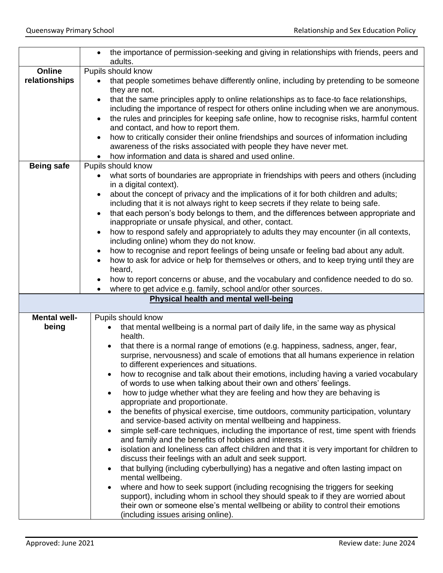|                     | the importance of permission-seeking and giving in relationships with friends, peers and<br>$\bullet$<br>adults.                                     |
|---------------------|------------------------------------------------------------------------------------------------------------------------------------------------------|
| Online              | Pupils should know                                                                                                                                   |
| relationships       | that people sometimes behave differently online, including by pretending to be someone                                                               |
|                     | they are not.                                                                                                                                        |
|                     | that the same principles apply to online relationships as to face-to face relationships,                                                             |
|                     | including the importance of respect for others online including when we are anonymous.                                                               |
|                     | the rules and principles for keeping safe online, how to recognise risks, harmful content                                                            |
|                     | and contact, and how to report them.                                                                                                                 |
|                     | how to critically consider their online friendships and sources of information including                                                             |
|                     | awareness of the risks associated with people they have never met.                                                                                   |
|                     | how information and data is shared and used online.                                                                                                  |
| <b>Being safe</b>   | Pupils should know                                                                                                                                   |
|                     | what sorts of boundaries are appropriate in friendships with peers and others (including                                                             |
|                     | in a digital context).                                                                                                                               |
|                     | about the concept of privacy and the implications of it for both children and adults;<br>$\bullet$                                                   |
|                     | including that it is not always right to keep secrets if they relate to being safe.                                                                  |
|                     | that each person's body belongs to them, and the differences between appropriate and<br>$\bullet$                                                    |
|                     | inappropriate or unsafe physical, and other, contact.                                                                                                |
|                     | how to respond safely and appropriately to adults they may encounter (in all contexts,                                                               |
|                     | including online) whom they do not know.                                                                                                             |
|                     | how to recognise and report feelings of being unsafe or feeling bad about any adult.                                                                 |
|                     | how to ask for advice or help for themselves or others, and to keep trying until they are                                                            |
|                     | heard,<br>how to report concerns or abuse, and the vocabulary and confidence needed to do so.                                                        |
|                     | where to get advice e.g. family, school and/or other sources.                                                                                        |
|                     | Physical health and mental well-being                                                                                                                |
|                     |                                                                                                                                                      |
| <b>Mental well-</b> | Pupils should know                                                                                                                                   |
| being               | that mental wellbeing is a normal part of daily life, in the same way as physical                                                                    |
|                     | health.                                                                                                                                              |
|                     | that there is a normal range of emotions (e.g. happiness, sadness, anger, fear,                                                                      |
|                     | surprise, nervousness) and scale of emotions that all humans experience in relation                                                                  |
|                     | to different experiences and situations.                                                                                                             |
|                     | how to recognise and talk about their emotions, including having a varied vocabulary                                                                 |
|                     | of words to use when talking about their own and others' feelings.                                                                                   |
|                     | how to judge whether what they are feeling and how they are behaving is<br>$\bullet$                                                                 |
|                     | appropriate and proportionate.                                                                                                                       |
|                     | the benefits of physical exercise, time outdoors, community participation, voluntary<br>$\bullet$                                                    |
|                     | and service-based activity on mental wellbeing and happiness.                                                                                        |
|                     | simple self-care techniques, including the importance of rest, time spent with friends                                                               |
|                     | and family and the benefits of hobbies and interests.                                                                                                |
|                     | isolation and loneliness can affect children and that it is very important for children to<br>discuss their feelings with an adult and seek support. |
|                     | that bullying (including cyberbullying) has a negative and often lasting impact on                                                                   |
|                     | $\bullet$<br>mental wellbeing.                                                                                                                       |
|                     | where and how to seek support (including recognising the triggers for seeking                                                                        |
|                     | support), including whom in school they should speak to if they are worried about                                                                    |
|                     | their own or someone else's mental wellbeing or ability to control their emotions                                                                    |
|                     | (including issues arising online).                                                                                                                   |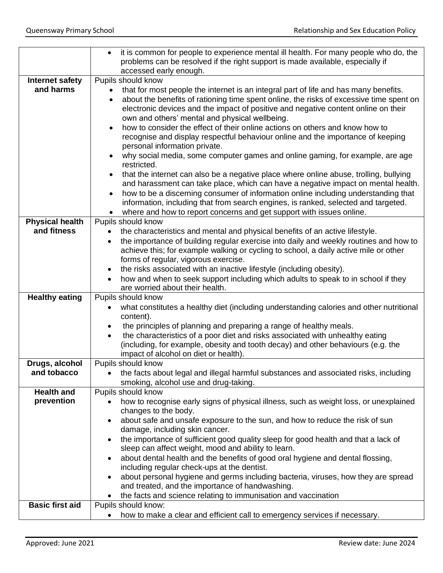| it is common for people to experience mental ill health. For many people who do, the<br>$\bullet$<br>problems can be resolved if the right support is made available, especially if<br>accessed early enough.<br>Pupils should know<br><b>Internet safety</b><br>and harms<br>that for most people the internet is an integral part of life and has many benefits.<br>٠<br>about the benefits of rationing time spent online, the risks of excessive time spent on<br>$\bullet$<br>electronic devices and the impact of positive and negative content online on their<br>own and others' mental and physical wellbeing.<br>how to consider the effect of their online actions on others and know how to<br>recognise and display respectful behaviour online and the importance of keeping<br>personal information private.<br>why social media, some computer games and online gaming, for example, are age<br>restricted.<br>that the internet can also be a negative place where online abuse, trolling, bullying<br>and harassment can take place, which can have a negative impact on mental health.<br>how to be a discerning consumer of information online including understanding that<br>$\bullet$<br>information, including that from search engines, is ranked, selected and targeted.<br>where and how to report concerns and get support with issues online.<br><b>Physical health</b><br>Pupils should know<br>and fitness<br>the characteristics and mental and physical benefits of an active lifestyle.<br>the importance of building regular exercise into daily and weekly routines and how to<br>$\bullet$<br>achieve this; for example walking or cycling to school, a daily active mile or other<br>forms of regular, vigorous exercise.<br>the risks associated with an inactive lifestyle (including obesity).<br>how and when to seek support including which adults to speak to in school if they<br>are worried about their health.<br><b>Healthy eating</b><br>Pupils should know<br>what constitutes a healthy diet (including understanding calories and other nutritional<br>content).<br>the principles of planning and preparing a range of healthy meals.<br>the characteristics of a poor diet and risks associated with unhealthy eating<br>(including, for example, obesity and tooth decay) and other behaviours (e.g. the<br>impact of alcohol on diet or health).<br>Drugs, alcohol<br>Pupils should know<br>and tobacco<br>the facts about legal and illegal harmful substances and associated risks, including<br>$\bullet$<br>smoking, alcohol use and drug-taking.<br><b>Health and</b><br>Pupils should know<br>prevention<br>how to recognise early signs of physical illness, such as weight loss, or unexplained<br>changes to the body.<br>about safe and unsafe exposure to the sun, and how to reduce the risk of sun<br>damage, including skin cancer.<br>the importance of sufficient good quality sleep for good health and that a lack of<br>sleep can affect weight, mood and ability to learn.<br>about dental health and the benefits of good oral hygiene and dental flossing,<br>including regular check-ups at the dentist.<br>about personal hygiene and germs including bacteria, viruses, how they are spread<br>٠<br>and treated, and the importance of handwashing.<br>the facts and science relating to immunisation and vaccination<br><b>Basic first aid</b><br>Pupils should know: |                                                                            |
|-----------------------------------------------------------------------------------------------------------------------------------------------------------------------------------------------------------------------------------------------------------------------------------------------------------------------------------------------------------------------------------------------------------------------------------------------------------------------------------------------------------------------------------------------------------------------------------------------------------------------------------------------------------------------------------------------------------------------------------------------------------------------------------------------------------------------------------------------------------------------------------------------------------------------------------------------------------------------------------------------------------------------------------------------------------------------------------------------------------------------------------------------------------------------------------------------------------------------------------------------------------------------------------------------------------------------------------------------------------------------------------------------------------------------------------------------------------------------------------------------------------------------------------------------------------------------------------------------------------------------------------------------------------------------------------------------------------------------------------------------------------------------------------------------------------------------------------------------------------------------------------------------------------------------------------------------------------------------------------------------------------------------------------------------------------------------------------------------------------------------------------------------------------------------------------------------------------------------------------------------------------------------------------------------------------------------------------------------------------------------------------------------------------------------------------------------------------------------------------------------------------------------------------------------------------------------------------------------------------------------------------------------------------------------------------------------------------------------------------------------------------------------------------------------------------------------------------------------------------------------------------------------------------------------------------------------------------------------------------------------------------------------------------------------------------------------------------------------------------------------------------------------------------------------------------------------------------------------------------------------------------------------------------------------------------------------------------------------------------------------------------------------------------------------------------------------------------|----------------------------------------------------------------------------|
|                                                                                                                                                                                                                                                                                                                                                                                                                                                                                                                                                                                                                                                                                                                                                                                                                                                                                                                                                                                                                                                                                                                                                                                                                                                                                                                                                                                                                                                                                                                                                                                                                                                                                                                                                                                                                                                                                                                                                                                                                                                                                                                                                                                                                                                                                                                                                                                                                                                                                                                                                                                                                                                                                                                                                                                                                                                                                                                                                                                                                                                                                                                                                                                                                                                                                                                                                                                                                                                           |                                                                            |
|                                                                                                                                                                                                                                                                                                                                                                                                                                                                                                                                                                                                                                                                                                                                                                                                                                                                                                                                                                                                                                                                                                                                                                                                                                                                                                                                                                                                                                                                                                                                                                                                                                                                                                                                                                                                                                                                                                                                                                                                                                                                                                                                                                                                                                                                                                                                                                                                                                                                                                                                                                                                                                                                                                                                                                                                                                                                                                                                                                                                                                                                                                                                                                                                                                                                                                                                                                                                                                                           |                                                                            |
|                                                                                                                                                                                                                                                                                                                                                                                                                                                                                                                                                                                                                                                                                                                                                                                                                                                                                                                                                                                                                                                                                                                                                                                                                                                                                                                                                                                                                                                                                                                                                                                                                                                                                                                                                                                                                                                                                                                                                                                                                                                                                                                                                                                                                                                                                                                                                                                                                                                                                                                                                                                                                                                                                                                                                                                                                                                                                                                                                                                                                                                                                                                                                                                                                                                                                                                                                                                                                                                           |                                                                            |
|                                                                                                                                                                                                                                                                                                                                                                                                                                                                                                                                                                                                                                                                                                                                                                                                                                                                                                                                                                                                                                                                                                                                                                                                                                                                                                                                                                                                                                                                                                                                                                                                                                                                                                                                                                                                                                                                                                                                                                                                                                                                                                                                                                                                                                                                                                                                                                                                                                                                                                                                                                                                                                                                                                                                                                                                                                                                                                                                                                                                                                                                                                                                                                                                                                                                                                                                                                                                                                                           |                                                                            |
|                                                                                                                                                                                                                                                                                                                                                                                                                                                                                                                                                                                                                                                                                                                                                                                                                                                                                                                                                                                                                                                                                                                                                                                                                                                                                                                                                                                                                                                                                                                                                                                                                                                                                                                                                                                                                                                                                                                                                                                                                                                                                                                                                                                                                                                                                                                                                                                                                                                                                                                                                                                                                                                                                                                                                                                                                                                                                                                                                                                                                                                                                                                                                                                                                                                                                                                                                                                                                                                           |                                                                            |
|                                                                                                                                                                                                                                                                                                                                                                                                                                                                                                                                                                                                                                                                                                                                                                                                                                                                                                                                                                                                                                                                                                                                                                                                                                                                                                                                                                                                                                                                                                                                                                                                                                                                                                                                                                                                                                                                                                                                                                                                                                                                                                                                                                                                                                                                                                                                                                                                                                                                                                                                                                                                                                                                                                                                                                                                                                                                                                                                                                                                                                                                                                                                                                                                                                                                                                                                                                                                                                                           |                                                                            |
|                                                                                                                                                                                                                                                                                                                                                                                                                                                                                                                                                                                                                                                                                                                                                                                                                                                                                                                                                                                                                                                                                                                                                                                                                                                                                                                                                                                                                                                                                                                                                                                                                                                                                                                                                                                                                                                                                                                                                                                                                                                                                                                                                                                                                                                                                                                                                                                                                                                                                                                                                                                                                                                                                                                                                                                                                                                                                                                                                                                                                                                                                                                                                                                                                                                                                                                                                                                                                                                           |                                                                            |
|                                                                                                                                                                                                                                                                                                                                                                                                                                                                                                                                                                                                                                                                                                                                                                                                                                                                                                                                                                                                                                                                                                                                                                                                                                                                                                                                                                                                                                                                                                                                                                                                                                                                                                                                                                                                                                                                                                                                                                                                                                                                                                                                                                                                                                                                                                                                                                                                                                                                                                                                                                                                                                                                                                                                                                                                                                                                                                                                                                                                                                                                                                                                                                                                                                                                                                                                                                                                                                                           |                                                                            |
|                                                                                                                                                                                                                                                                                                                                                                                                                                                                                                                                                                                                                                                                                                                                                                                                                                                                                                                                                                                                                                                                                                                                                                                                                                                                                                                                                                                                                                                                                                                                                                                                                                                                                                                                                                                                                                                                                                                                                                                                                                                                                                                                                                                                                                                                                                                                                                                                                                                                                                                                                                                                                                                                                                                                                                                                                                                                                                                                                                                                                                                                                                                                                                                                                                                                                                                                                                                                                                                           |                                                                            |
|                                                                                                                                                                                                                                                                                                                                                                                                                                                                                                                                                                                                                                                                                                                                                                                                                                                                                                                                                                                                                                                                                                                                                                                                                                                                                                                                                                                                                                                                                                                                                                                                                                                                                                                                                                                                                                                                                                                                                                                                                                                                                                                                                                                                                                                                                                                                                                                                                                                                                                                                                                                                                                                                                                                                                                                                                                                                                                                                                                                                                                                                                                                                                                                                                                                                                                                                                                                                                                                           |                                                                            |
|                                                                                                                                                                                                                                                                                                                                                                                                                                                                                                                                                                                                                                                                                                                                                                                                                                                                                                                                                                                                                                                                                                                                                                                                                                                                                                                                                                                                                                                                                                                                                                                                                                                                                                                                                                                                                                                                                                                                                                                                                                                                                                                                                                                                                                                                                                                                                                                                                                                                                                                                                                                                                                                                                                                                                                                                                                                                                                                                                                                                                                                                                                                                                                                                                                                                                                                                                                                                                                                           |                                                                            |
|                                                                                                                                                                                                                                                                                                                                                                                                                                                                                                                                                                                                                                                                                                                                                                                                                                                                                                                                                                                                                                                                                                                                                                                                                                                                                                                                                                                                                                                                                                                                                                                                                                                                                                                                                                                                                                                                                                                                                                                                                                                                                                                                                                                                                                                                                                                                                                                                                                                                                                                                                                                                                                                                                                                                                                                                                                                                                                                                                                                                                                                                                                                                                                                                                                                                                                                                                                                                                                                           |                                                                            |
|                                                                                                                                                                                                                                                                                                                                                                                                                                                                                                                                                                                                                                                                                                                                                                                                                                                                                                                                                                                                                                                                                                                                                                                                                                                                                                                                                                                                                                                                                                                                                                                                                                                                                                                                                                                                                                                                                                                                                                                                                                                                                                                                                                                                                                                                                                                                                                                                                                                                                                                                                                                                                                                                                                                                                                                                                                                                                                                                                                                                                                                                                                                                                                                                                                                                                                                                                                                                                                                           |                                                                            |
|                                                                                                                                                                                                                                                                                                                                                                                                                                                                                                                                                                                                                                                                                                                                                                                                                                                                                                                                                                                                                                                                                                                                                                                                                                                                                                                                                                                                                                                                                                                                                                                                                                                                                                                                                                                                                                                                                                                                                                                                                                                                                                                                                                                                                                                                                                                                                                                                                                                                                                                                                                                                                                                                                                                                                                                                                                                                                                                                                                                                                                                                                                                                                                                                                                                                                                                                                                                                                                                           |                                                                            |
|                                                                                                                                                                                                                                                                                                                                                                                                                                                                                                                                                                                                                                                                                                                                                                                                                                                                                                                                                                                                                                                                                                                                                                                                                                                                                                                                                                                                                                                                                                                                                                                                                                                                                                                                                                                                                                                                                                                                                                                                                                                                                                                                                                                                                                                                                                                                                                                                                                                                                                                                                                                                                                                                                                                                                                                                                                                                                                                                                                                                                                                                                                                                                                                                                                                                                                                                                                                                                                                           |                                                                            |
|                                                                                                                                                                                                                                                                                                                                                                                                                                                                                                                                                                                                                                                                                                                                                                                                                                                                                                                                                                                                                                                                                                                                                                                                                                                                                                                                                                                                                                                                                                                                                                                                                                                                                                                                                                                                                                                                                                                                                                                                                                                                                                                                                                                                                                                                                                                                                                                                                                                                                                                                                                                                                                                                                                                                                                                                                                                                                                                                                                                                                                                                                                                                                                                                                                                                                                                                                                                                                                                           |                                                                            |
|                                                                                                                                                                                                                                                                                                                                                                                                                                                                                                                                                                                                                                                                                                                                                                                                                                                                                                                                                                                                                                                                                                                                                                                                                                                                                                                                                                                                                                                                                                                                                                                                                                                                                                                                                                                                                                                                                                                                                                                                                                                                                                                                                                                                                                                                                                                                                                                                                                                                                                                                                                                                                                                                                                                                                                                                                                                                                                                                                                                                                                                                                                                                                                                                                                                                                                                                                                                                                                                           |                                                                            |
|                                                                                                                                                                                                                                                                                                                                                                                                                                                                                                                                                                                                                                                                                                                                                                                                                                                                                                                                                                                                                                                                                                                                                                                                                                                                                                                                                                                                                                                                                                                                                                                                                                                                                                                                                                                                                                                                                                                                                                                                                                                                                                                                                                                                                                                                                                                                                                                                                                                                                                                                                                                                                                                                                                                                                                                                                                                                                                                                                                                                                                                                                                                                                                                                                                                                                                                                                                                                                                                           |                                                                            |
|                                                                                                                                                                                                                                                                                                                                                                                                                                                                                                                                                                                                                                                                                                                                                                                                                                                                                                                                                                                                                                                                                                                                                                                                                                                                                                                                                                                                                                                                                                                                                                                                                                                                                                                                                                                                                                                                                                                                                                                                                                                                                                                                                                                                                                                                                                                                                                                                                                                                                                                                                                                                                                                                                                                                                                                                                                                                                                                                                                                                                                                                                                                                                                                                                                                                                                                                                                                                                                                           |                                                                            |
|                                                                                                                                                                                                                                                                                                                                                                                                                                                                                                                                                                                                                                                                                                                                                                                                                                                                                                                                                                                                                                                                                                                                                                                                                                                                                                                                                                                                                                                                                                                                                                                                                                                                                                                                                                                                                                                                                                                                                                                                                                                                                                                                                                                                                                                                                                                                                                                                                                                                                                                                                                                                                                                                                                                                                                                                                                                                                                                                                                                                                                                                                                                                                                                                                                                                                                                                                                                                                                                           |                                                                            |
|                                                                                                                                                                                                                                                                                                                                                                                                                                                                                                                                                                                                                                                                                                                                                                                                                                                                                                                                                                                                                                                                                                                                                                                                                                                                                                                                                                                                                                                                                                                                                                                                                                                                                                                                                                                                                                                                                                                                                                                                                                                                                                                                                                                                                                                                                                                                                                                                                                                                                                                                                                                                                                                                                                                                                                                                                                                                                                                                                                                                                                                                                                                                                                                                                                                                                                                                                                                                                                                           |                                                                            |
|                                                                                                                                                                                                                                                                                                                                                                                                                                                                                                                                                                                                                                                                                                                                                                                                                                                                                                                                                                                                                                                                                                                                                                                                                                                                                                                                                                                                                                                                                                                                                                                                                                                                                                                                                                                                                                                                                                                                                                                                                                                                                                                                                                                                                                                                                                                                                                                                                                                                                                                                                                                                                                                                                                                                                                                                                                                                                                                                                                                                                                                                                                                                                                                                                                                                                                                                                                                                                                                           |                                                                            |
|                                                                                                                                                                                                                                                                                                                                                                                                                                                                                                                                                                                                                                                                                                                                                                                                                                                                                                                                                                                                                                                                                                                                                                                                                                                                                                                                                                                                                                                                                                                                                                                                                                                                                                                                                                                                                                                                                                                                                                                                                                                                                                                                                                                                                                                                                                                                                                                                                                                                                                                                                                                                                                                                                                                                                                                                                                                                                                                                                                                                                                                                                                                                                                                                                                                                                                                                                                                                                                                           |                                                                            |
|                                                                                                                                                                                                                                                                                                                                                                                                                                                                                                                                                                                                                                                                                                                                                                                                                                                                                                                                                                                                                                                                                                                                                                                                                                                                                                                                                                                                                                                                                                                                                                                                                                                                                                                                                                                                                                                                                                                                                                                                                                                                                                                                                                                                                                                                                                                                                                                                                                                                                                                                                                                                                                                                                                                                                                                                                                                                                                                                                                                                                                                                                                                                                                                                                                                                                                                                                                                                                                                           |                                                                            |
|                                                                                                                                                                                                                                                                                                                                                                                                                                                                                                                                                                                                                                                                                                                                                                                                                                                                                                                                                                                                                                                                                                                                                                                                                                                                                                                                                                                                                                                                                                                                                                                                                                                                                                                                                                                                                                                                                                                                                                                                                                                                                                                                                                                                                                                                                                                                                                                                                                                                                                                                                                                                                                                                                                                                                                                                                                                                                                                                                                                                                                                                                                                                                                                                                                                                                                                                                                                                                                                           |                                                                            |
|                                                                                                                                                                                                                                                                                                                                                                                                                                                                                                                                                                                                                                                                                                                                                                                                                                                                                                                                                                                                                                                                                                                                                                                                                                                                                                                                                                                                                                                                                                                                                                                                                                                                                                                                                                                                                                                                                                                                                                                                                                                                                                                                                                                                                                                                                                                                                                                                                                                                                                                                                                                                                                                                                                                                                                                                                                                                                                                                                                                                                                                                                                                                                                                                                                                                                                                                                                                                                                                           |                                                                            |
|                                                                                                                                                                                                                                                                                                                                                                                                                                                                                                                                                                                                                                                                                                                                                                                                                                                                                                                                                                                                                                                                                                                                                                                                                                                                                                                                                                                                                                                                                                                                                                                                                                                                                                                                                                                                                                                                                                                                                                                                                                                                                                                                                                                                                                                                                                                                                                                                                                                                                                                                                                                                                                                                                                                                                                                                                                                                                                                                                                                                                                                                                                                                                                                                                                                                                                                                                                                                                                                           |                                                                            |
|                                                                                                                                                                                                                                                                                                                                                                                                                                                                                                                                                                                                                                                                                                                                                                                                                                                                                                                                                                                                                                                                                                                                                                                                                                                                                                                                                                                                                                                                                                                                                                                                                                                                                                                                                                                                                                                                                                                                                                                                                                                                                                                                                                                                                                                                                                                                                                                                                                                                                                                                                                                                                                                                                                                                                                                                                                                                                                                                                                                                                                                                                                                                                                                                                                                                                                                                                                                                                                                           |                                                                            |
|                                                                                                                                                                                                                                                                                                                                                                                                                                                                                                                                                                                                                                                                                                                                                                                                                                                                                                                                                                                                                                                                                                                                                                                                                                                                                                                                                                                                                                                                                                                                                                                                                                                                                                                                                                                                                                                                                                                                                                                                                                                                                                                                                                                                                                                                                                                                                                                                                                                                                                                                                                                                                                                                                                                                                                                                                                                                                                                                                                                                                                                                                                                                                                                                                                                                                                                                                                                                                                                           |                                                                            |
|                                                                                                                                                                                                                                                                                                                                                                                                                                                                                                                                                                                                                                                                                                                                                                                                                                                                                                                                                                                                                                                                                                                                                                                                                                                                                                                                                                                                                                                                                                                                                                                                                                                                                                                                                                                                                                                                                                                                                                                                                                                                                                                                                                                                                                                                                                                                                                                                                                                                                                                                                                                                                                                                                                                                                                                                                                                                                                                                                                                                                                                                                                                                                                                                                                                                                                                                                                                                                                                           |                                                                            |
|                                                                                                                                                                                                                                                                                                                                                                                                                                                                                                                                                                                                                                                                                                                                                                                                                                                                                                                                                                                                                                                                                                                                                                                                                                                                                                                                                                                                                                                                                                                                                                                                                                                                                                                                                                                                                                                                                                                                                                                                                                                                                                                                                                                                                                                                                                                                                                                                                                                                                                                                                                                                                                                                                                                                                                                                                                                                                                                                                                                                                                                                                                                                                                                                                                                                                                                                                                                                                                                           |                                                                            |
|                                                                                                                                                                                                                                                                                                                                                                                                                                                                                                                                                                                                                                                                                                                                                                                                                                                                                                                                                                                                                                                                                                                                                                                                                                                                                                                                                                                                                                                                                                                                                                                                                                                                                                                                                                                                                                                                                                                                                                                                                                                                                                                                                                                                                                                                                                                                                                                                                                                                                                                                                                                                                                                                                                                                                                                                                                                                                                                                                                                                                                                                                                                                                                                                                                                                                                                                                                                                                                                           |                                                                            |
|                                                                                                                                                                                                                                                                                                                                                                                                                                                                                                                                                                                                                                                                                                                                                                                                                                                                                                                                                                                                                                                                                                                                                                                                                                                                                                                                                                                                                                                                                                                                                                                                                                                                                                                                                                                                                                                                                                                                                                                                                                                                                                                                                                                                                                                                                                                                                                                                                                                                                                                                                                                                                                                                                                                                                                                                                                                                                                                                                                                                                                                                                                                                                                                                                                                                                                                                                                                                                                                           |                                                                            |
|                                                                                                                                                                                                                                                                                                                                                                                                                                                                                                                                                                                                                                                                                                                                                                                                                                                                                                                                                                                                                                                                                                                                                                                                                                                                                                                                                                                                                                                                                                                                                                                                                                                                                                                                                                                                                                                                                                                                                                                                                                                                                                                                                                                                                                                                                                                                                                                                                                                                                                                                                                                                                                                                                                                                                                                                                                                                                                                                                                                                                                                                                                                                                                                                                                                                                                                                                                                                                                                           |                                                                            |
|                                                                                                                                                                                                                                                                                                                                                                                                                                                                                                                                                                                                                                                                                                                                                                                                                                                                                                                                                                                                                                                                                                                                                                                                                                                                                                                                                                                                                                                                                                                                                                                                                                                                                                                                                                                                                                                                                                                                                                                                                                                                                                                                                                                                                                                                                                                                                                                                                                                                                                                                                                                                                                                                                                                                                                                                                                                                                                                                                                                                                                                                                                                                                                                                                                                                                                                                                                                                                                                           |                                                                            |
|                                                                                                                                                                                                                                                                                                                                                                                                                                                                                                                                                                                                                                                                                                                                                                                                                                                                                                                                                                                                                                                                                                                                                                                                                                                                                                                                                                                                                                                                                                                                                                                                                                                                                                                                                                                                                                                                                                                                                                                                                                                                                                                                                                                                                                                                                                                                                                                                                                                                                                                                                                                                                                                                                                                                                                                                                                                                                                                                                                                                                                                                                                                                                                                                                                                                                                                                                                                                                                                           |                                                                            |
|                                                                                                                                                                                                                                                                                                                                                                                                                                                                                                                                                                                                                                                                                                                                                                                                                                                                                                                                                                                                                                                                                                                                                                                                                                                                                                                                                                                                                                                                                                                                                                                                                                                                                                                                                                                                                                                                                                                                                                                                                                                                                                                                                                                                                                                                                                                                                                                                                                                                                                                                                                                                                                                                                                                                                                                                                                                                                                                                                                                                                                                                                                                                                                                                                                                                                                                                                                                                                                                           |                                                                            |
|                                                                                                                                                                                                                                                                                                                                                                                                                                                                                                                                                                                                                                                                                                                                                                                                                                                                                                                                                                                                                                                                                                                                                                                                                                                                                                                                                                                                                                                                                                                                                                                                                                                                                                                                                                                                                                                                                                                                                                                                                                                                                                                                                                                                                                                                                                                                                                                                                                                                                                                                                                                                                                                                                                                                                                                                                                                                                                                                                                                                                                                                                                                                                                                                                                                                                                                                                                                                                                                           |                                                                            |
|                                                                                                                                                                                                                                                                                                                                                                                                                                                                                                                                                                                                                                                                                                                                                                                                                                                                                                                                                                                                                                                                                                                                                                                                                                                                                                                                                                                                                                                                                                                                                                                                                                                                                                                                                                                                                                                                                                                                                                                                                                                                                                                                                                                                                                                                                                                                                                                                                                                                                                                                                                                                                                                                                                                                                                                                                                                                                                                                                                                                                                                                                                                                                                                                                                                                                                                                                                                                                                                           |                                                                            |
|                                                                                                                                                                                                                                                                                                                                                                                                                                                                                                                                                                                                                                                                                                                                                                                                                                                                                                                                                                                                                                                                                                                                                                                                                                                                                                                                                                                                                                                                                                                                                                                                                                                                                                                                                                                                                                                                                                                                                                                                                                                                                                                                                                                                                                                                                                                                                                                                                                                                                                                                                                                                                                                                                                                                                                                                                                                                                                                                                                                                                                                                                                                                                                                                                                                                                                                                                                                                                                                           |                                                                            |
|                                                                                                                                                                                                                                                                                                                                                                                                                                                                                                                                                                                                                                                                                                                                                                                                                                                                                                                                                                                                                                                                                                                                                                                                                                                                                                                                                                                                                                                                                                                                                                                                                                                                                                                                                                                                                                                                                                                                                                                                                                                                                                                                                                                                                                                                                                                                                                                                                                                                                                                                                                                                                                                                                                                                                                                                                                                                                                                                                                                                                                                                                                                                                                                                                                                                                                                                                                                                                                                           |                                                                            |
|                                                                                                                                                                                                                                                                                                                                                                                                                                                                                                                                                                                                                                                                                                                                                                                                                                                                                                                                                                                                                                                                                                                                                                                                                                                                                                                                                                                                                                                                                                                                                                                                                                                                                                                                                                                                                                                                                                                                                                                                                                                                                                                                                                                                                                                                                                                                                                                                                                                                                                                                                                                                                                                                                                                                                                                                                                                                                                                                                                                                                                                                                                                                                                                                                                                                                                                                                                                                                                                           |                                                                            |
|                                                                                                                                                                                                                                                                                                                                                                                                                                                                                                                                                                                                                                                                                                                                                                                                                                                                                                                                                                                                                                                                                                                                                                                                                                                                                                                                                                                                                                                                                                                                                                                                                                                                                                                                                                                                                                                                                                                                                                                                                                                                                                                                                                                                                                                                                                                                                                                                                                                                                                                                                                                                                                                                                                                                                                                                                                                                                                                                                                                                                                                                                                                                                                                                                                                                                                                                                                                                                                                           |                                                                            |
|                                                                                                                                                                                                                                                                                                                                                                                                                                                                                                                                                                                                                                                                                                                                                                                                                                                                                                                                                                                                                                                                                                                                                                                                                                                                                                                                                                                                                                                                                                                                                                                                                                                                                                                                                                                                                                                                                                                                                                                                                                                                                                                                                                                                                                                                                                                                                                                                                                                                                                                                                                                                                                                                                                                                                                                                                                                                                                                                                                                                                                                                                                                                                                                                                                                                                                                                                                                                                                                           |                                                                            |
|                                                                                                                                                                                                                                                                                                                                                                                                                                                                                                                                                                                                                                                                                                                                                                                                                                                                                                                                                                                                                                                                                                                                                                                                                                                                                                                                                                                                                                                                                                                                                                                                                                                                                                                                                                                                                                                                                                                                                                                                                                                                                                                                                                                                                                                                                                                                                                                                                                                                                                                                                                                                                                                                                                                                                                                                                                                                                                                                                                                                                                                                                                                                                                                                                                                                                                                                                                                                                                                           | how to make a clear and efficient call to emergency services if necessary. |